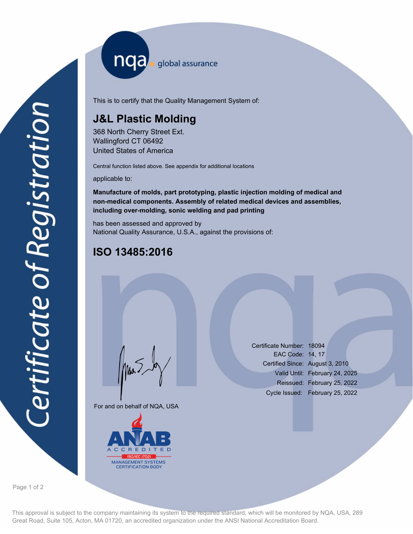nqa <sub>global assurance</sub>

This is to certify that the Quality Management System of:

# **J&L Plastic Molding**

368 North Cherry Street Ext. Wallingford CT 06492 United States of America

Central function listed above. See appendix for additional locations

applicable to:

**Manufacture of molds, part prototyping, plastic injection molding of medical and non-medical components. Assembly of related medical devices and assemblies, including over-molding, sonic welding and pad printing**

has been assessed and approved by National Quality Assurance, U.S.A., against the provisions of:

## **ISO 13485:2016**

For and on behalf of NQA, USA

Mus



Certificate Number: 18094 EAC Code: 14, 17 Certified Since: August 3, 2010 Valid Until: February 24, 2025 Reissued: February 25, 2022 Cycle Issued: February 25, 2022

Page 1 of 2

This approval is subject to the company maintaining its system to the required standard, which will be monitored by NQA, USA, 289 Great Road, Suite 105, Acton, MA 01720, an accredited organization under the ANSI National Accreditation Board.